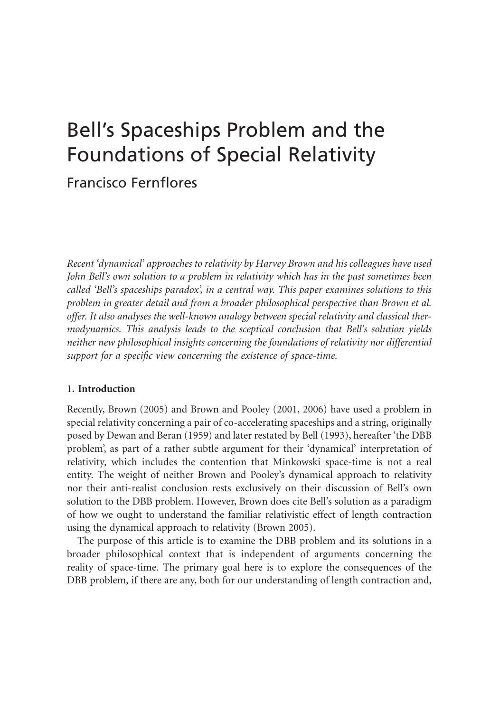# Bell's Spaceships Problem and the Foundations of Special Relativity

Francisco Fernflores

Recent 'dynamical' approaches to relativity by Harvey Brown and his colleagues have used John Bell's own solution to a problem in relativity which has in the past sometimes been called 'Bell's spaceships paradox', in a central way. This paper examines solutions to this problem in greater detail and from a broader philosophical perspective than Brown et al. offer. It also analyses the well-known analogy between special relativity and classical thermodynamics. This analysis leads to the sceptical conclusion that Bell's solution yields neither new philosophical insights concerning the foundations of relativity nor differential support for a specific view concerning the existence of space-time.

# 1. Introduction

Recently, Brown (2005) and Brown and Pooley (2001, 2006) have used a problem in special relativity concerning a pair of co-accelerating spaceships and a string, originally posed by Dewan and Beran (1959) and later restated by Bell (1993), hereafter 'the DBB problem', as part of a rather subtle argument for their 'dynamical' interpretation of relativity, which includes the contention that Minkowski space-time is not a real entity. The weight of neither Brown and Pooley's dynamical approach to relativity nor their anti-realist conclusion rests exclusively on their discussion of Bell's own solution to the DBB problem. However, Brown does cite Bell's solution as a paradigm of how we ought to understand the familiar relativistic effect of length contraction using the dynamical approach to relativity (Brown 2005).

The purpose of this article is to examine the DBB problem and its solutions in a broader philosophical context that is independent of arguments concerning the reality of space-time. The primary goal here is to explore the consequences of the DBB problem, if there are any, both for our understanding of length contraction and,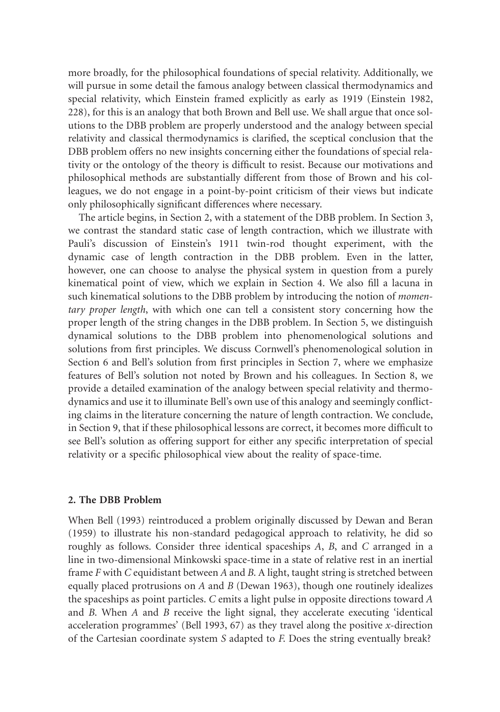more broadly, for the philosophical foundations of special relativity. Additionally, we will pursue in some detail the famous analogy between classical thermodynamics and special relativity, which Einstein framed explicitly as early as 1919 (Einstein 1982, 228), for this is an analogy that both Brown and Bell use. We shall argue that once solutions to the DBB problem are properly understood and the analogy between special relativity and classical thermodynamics is clarified, the sceptical conclusion that the DBB problem offers no new insights concerning either the foundations of special relativity or the ontology of the theory is difficult to resist. Because our motivations and philosophical methods are substantially different from those of Brown and his colleagues, we do not engage in a point-by-point criticism of their views but indicate only philosophically significant differences where necessary.

The article begins, in Section 2, with a statement of the DBB problem. In Section 3, we contrast the standard static case of length contraction, which we illustrate with Pauli's discussion of Einstein's 1911 twin-rod thought experiment, with the dynamic case of length contraction in the DBB problem. Even in the latter, however, one can choose to analyse the physical system in question from a purely kinematical point of view, which we explain in Section 4. We also fill a lacuna in such kinematical solutions to the DBB problem by introducing the notion of *momen*tary proper length, with which one can tell a consistent story concerning how the proper length of the string changes in the DBB problem. In Section 5, we distinguish dynamical solutions to the DBB problem into phenomenological solutions and solutions from first principles. We discuss Cornwell's phenomenological solution in Section 6 and Bell's solution from first principles in Section 7, where we emphasize features of Bell's solution not noted by Brown and his colleagues. In Section 8, we provide a detailed examination of the analogy between special relativity and thermodynamics and use it to illuminate Bell's own use of this analogy and seemingly conflicting claims in the literature concerning the nature of length contraction. We conclude, in Section 9, that if these philosophical lessons are correct, it becomes more difficult to see Bell's solution as offering support for either any specific interpretation of special relativity or a specific philosophical view about the reality of space-time.

#### 2. The DBB Problem

When Bell (1993) reintroduced a problem originally discussed by Dewan and Beran (1959) to illustrate his non-standard pedagogical approach to relativity, he did so roughly as follows. Consider three identical spaceships A, B, and C arranged in a line in two-dimensional Minkowski space-time in a state of relative rest in an inertial frame F with C equidistant between A and B. A light, taught string is stretched between equally placed protrusions on  $A$  and  $B$  (Dewan 1963), though one routinely idealizes the spaceships as point particles. C emits a light pulse in opposite directions toward  $A$ and B. When A and B receive the light signal, they accelerate executing 'identical acceleration programmes' (Bell 1993, 67) as they travel along the positive x-direction of the Cartesian coordinate system S adapted to F. Does the string eventually break?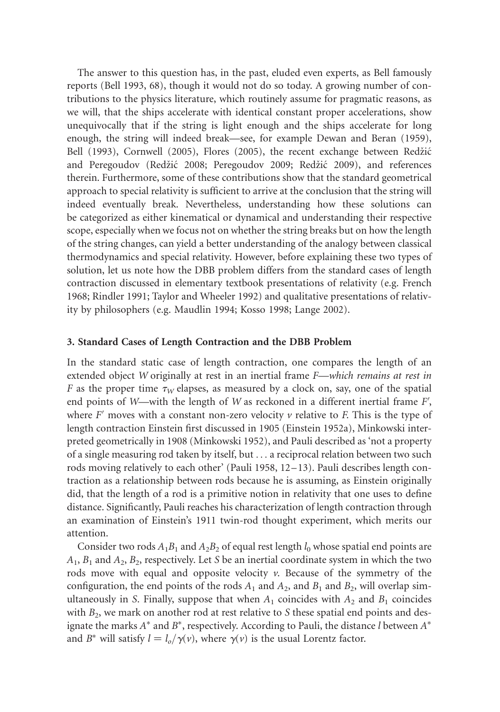The answer to this question has, in the past, eluded even experts, as Bell famously reports (Bell 1993, 68), though it would not do so today. A growing number of contributions to the physics literature, which routinely assume for pragmatic reasons, as we will, that the ships accelerate with identical constant proper accelerations, show unequivocally that if the string is light enough and the ships accelerate for long enough, the string will indeed break—see, for example Dewan and Beran (1959), Bell (1993), Cornwell (2005), Flores (2005), the recent exchange between Redžić and Peregoudov (Redžić 2008; Peregoudov 2009; Redžić 2009), and references therein. Furthermore, some of these contributions show that the standard geometrical approach to special relativity is sufficient to arrive at the conclusion that the string will indeed eventually break. Nevertheless, understanding how these solutions can be categorized as either kinematical or dynamical and understanding their respective scope, especially when we focus not on whether the string breaks but on how the length of the string changes, can yield a better understanding of the analogy between classical thermodynamics and special relativity. However, before explaining these two types of solution, let us note how the DBB problem differs from the standard cases of length contraction discussed in elementary textbook presentations of relativity (e.g. French 1968; Rindler 1991; Taylor and Wheeler 1992) and qualitative presentations of relativity by philosophers (e.g. Maudlin 1994; Kosso 1998; Lange 2002).

## 3. Standard Cases of Length Contraction and the DBB Problem

In the standard static case of length contraction, one compares the length of an extended object W originally at rest in an inertial frame F—which remains at rest in F as the proper time  $\tau_W$  elapses, as measured by a clock on, say, one of the spatial end points of W—with the length of  $W$  as reckoned in a different inertial frame  $F'$ , where  $F'$  moves with a constant non-zero velocity  $\nu$  relative to F. This is the type of length contraction Einstein first discussed in 1905 (Einstein 1952a), Minkowski interpreted geometrically in 1908 (Minkowski 1952), and Pauli described as 'not a property of a single measuring rod taken by itself, but ... a reciprocal relation between two such rods moving relatively to each other' (Pauli 1958,  $12-13$ ). Pauli describes length contraction as a relationship between rods because he is assuming, as Einstein originally did, that the length of a rod is a primitive notion in relativity that one uses to define distance. Significantly, Pauli reaches his characterization of length contraction through an examination of Einstein's 1911 twin-rod thought experiment, which merits our attention.

Consider two rods  $A_1B_1$  and  $A_2B_2$  of equal rest length  $l_0$  whose spatial end points are  $A_1, B_1$  and  $A_2, B_2$ , respectively. Let S be an inertial coordinate system in which the two rods move with equal and opposite velocity  $\nu$ . Because of the symmetry of the configuration, the end points of the rods  $A_1$  and  $A_2$ , and  $B_1$  and  $B_2$ , will overlap simultaneously in S. Finally, suppose that when  $A_1$  coincides with  $A_2$  and  $B_1$  coincides with  $B_2$ , we mark on another rod at rest relative to S these spatial end points and designate the marks  $A^*$  and  $B^*$ , respectively. According to Pauli, the distance l between  $A^*$ and B<sup>\*</sup> will satisfy  $l = l_o/\gamma(v)$ , where  $\gamma(v)$  is the usual Lorentz factor.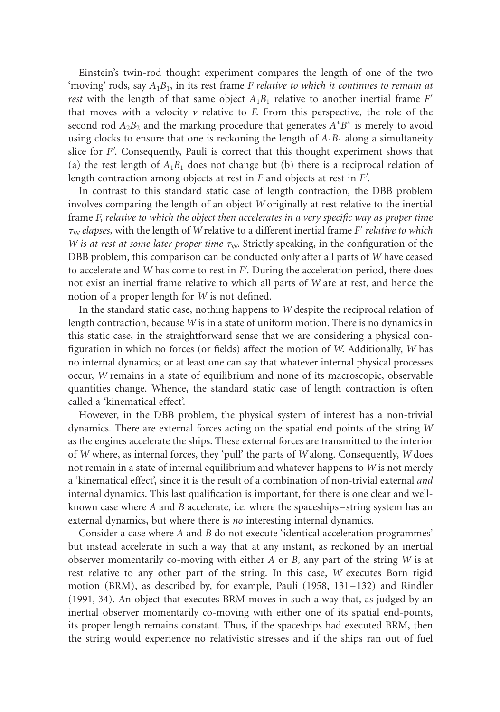Einstein's twin-rod thought experiment compares the length of one of the two 'moving' rods, say  $A_1B_1$ , in its rest frame F relative to which it continues to remain at rest with the length of that same object  $A_1B_1$  relative to another inertial frame  $F'$ that moves with a velocity  $\nu$  relative to F. From this perspective, the role of the second rod  $A_2B_2$  and the marking procedure that generates  $A^*B^*$  is merely to avoid using clocks to ensure that one is reckoning the length of  $A_1B_1$  along a simultaneity slice for  $F'$ . Consequently, Pauli is correct that this thought experiment shows that (a) the rest length of  $A_1B_1$  does not change but (b) there is a reciprocal relation of length contraction among objects at rest in  $F$  and objects at rest in  $F'$ .

In contrast to this standard static case of length contraction, the DBB problem involves comparing the length of an object W originally at rest relative to the inertial frame F, relative to which the object then accelerates in a very specific way as proper time  $\tau_W$  elapses, with the length of W relative to a different inertial frame F' relative to which W is at rest at some later proper time  $\tau_{W}$ . Strictly speaking, in the configuration of the DBB problem, this comparison can be conducted only after all parts of W have ceased to accelerate and  $W$  has come to rest in  $F'$ . During the acceleration period, there does not exist an inertial frame relative to which all parts of W are at rest, and hence the notion of a proper length for W is not defined.

In the standard static case, nothing happens to W despite the reciprocal relation of length contraction, because W is in a state of uniform motion. There is no dynamics in this static case, in the straightforward sense that we are considering a physical configuration in which no forces (or fields) affect the motion of W. Additionally, W has no internal dynamics; or at least one can say that whatever internal physical processes occur, W remains in a state of equilibrium and none of its macroscopic, observable quantities change. Whence, the standard static case of length contraction is often called a 'kinematical effect'.

However, in the DBB problem, the physical system of interest has a non-trivial dynamics. There are external forces acting on the spatial end points of the string W as the engines accelerate the ships. These external forces are transmitted to the interior of W where, as internal forces, they 'pull' the parts of W along. Consequently, W does not remain in a state of internal equilibrium and whatever happens to W is not merely a 'kinematical effect', since it is the result of a combination of non-trivial external and internal dynamics. This last qualification is important, for there is one clear and wellknown case where  $A$  and  $B$  accelerate, i.e. where the spaceships–string system has an external dynamics, but where there is *no* interesting internal dynamics.

Consider a case where A and B do not execute 'identical acceleration programmes' but instead accelerate in such a way that at any instant, as reckoned by an inertial observer momentarily co-moving with either A or B, any part of the string W is at rest relative to any other part of the string. In this case, W executes Born rigid motion (BRM), as described by, for example, Pauli (1958, 131– 132) and Rindler (1991, 34). An object that executes BRM moves in such a way that, as judged by an inertial observer momentarily co-moving with either one of its spatial end-points, its proper length remains constant. Thus, if the spaceships had executed BRM, then the string would experience no relativistic stresses and if the ships ran out of fuel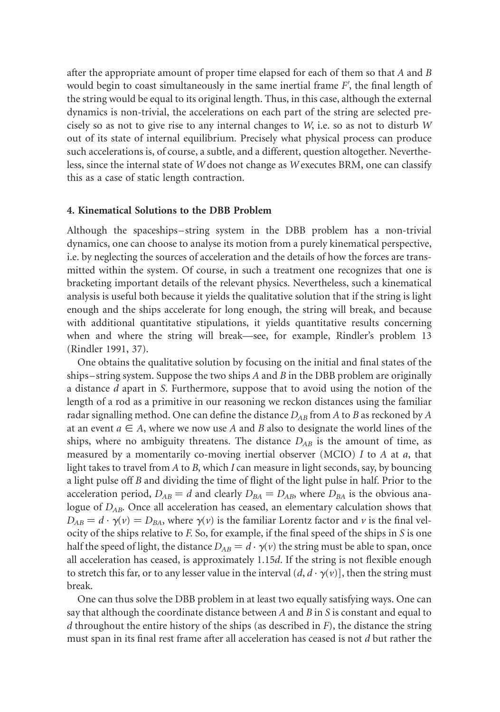after the appropriate amount of proper time elapsed for each of them so that  $A$  and  $B$ would begin to coast simultaneously in the same inertial frame  $F'$ , the final length of the string would be equal to its original length. Thus, in this case, although the external dynamics is non-trivial, the accelerations on each part of the string are selected precisely so as not to give rise to any internal changes to  $W$ , i.e. so as not to disturb  $W$ out of its state of internal equilibrium. Precisely what physical process can produce such accelerations is, of course, a subtle, and a different, question altogether. Nevertheless, since the internal state of W does not change as W executes BRM, one can classify this as a case of static length contraction.

## 4. Kinematical Solutions to the DBB Problem

Although the spaceships-string system in the DBB problem has a non-trivial dynamics, one can choose to analyse its motion from a purely kinematical perspective, i.e. by neglecting the sources of acceleration and the details of how the forces are transmitted within the system. Of course, in such a treatment one recognizes that one is bracketing important details of the relevant physics. Nevertheless, such a kinematical analysis is useful both because it yields the qualitative solution that if the string is light enough and the ships accelerate for long enough, the string will break, and because with additional quantitative stipulations, it yields quantitative results concerning when and where the string will break—see, for example, Rindler's problem 13 (Rindler 1991, 37).

One obtains the qualitative solution by focusing on the initial and final states of the ships – string system. Suppose the two ships  $A$  and  $B$  in the DBB problem are originally a distance d apart in S. Furthermore, suppose that to avoid using the notion of the length of a rod as a primitive in our reasoning we reckon distances using the familiar radar signalling method. One can define the distance  $D_{AB}$  from A to B as reckoned by A at an event  $a \in A$ , where we now use A and B also to designate the world lines of the ships, where no ambiguity threatens. The distance  $D_{AB}$  is the amount of time, as measured by a momentarily co-moving inertial observer (MCIO) I to A at a, that light takes to travel from A to B, which I can measure in light seconds, say, by bouncing a light pulse off B and dividing the time of flight of the light pulse in half. Prior to the acceleration period,  $D_{AB} = d$  and clearly  $D_{BA} = D_{AB}$ , where  $D_{BA}$  is the obvious analogue of  $D_{AB}$ . Once all acceleration has ceased, an elementary calculation shows that  $D_{AB} = d \cdot \gamma(v) = D_{BA}$ , where  $\gamma(v)$  is the familiar Lorentz factor and v is the final velocity of the ships relative to  $F$ . So, for example, if the final speed of the ships in  $S$  is one half the speed of light, the distance  $D_{AB} = d \cdot \gamma(v)$  the string must be able to span, once all acceleration has ceased, is approximately 1.15d. If the string is not flexible enough to stretch this far, or to any lesser value in the interval  $(d, d \cdot \gamma(v))$ , then the string must break.

One can thus solve the DBB problem in at least two equally satisfying ways. One can say that although the coordinate distance between  $A$  and  $B$  in  $S$  is constant and equal to d throughout the entire history of the ships (as described in  $F$ ), the distance the string must span in its final rest frame after all acceleration has ceased is not d but rather the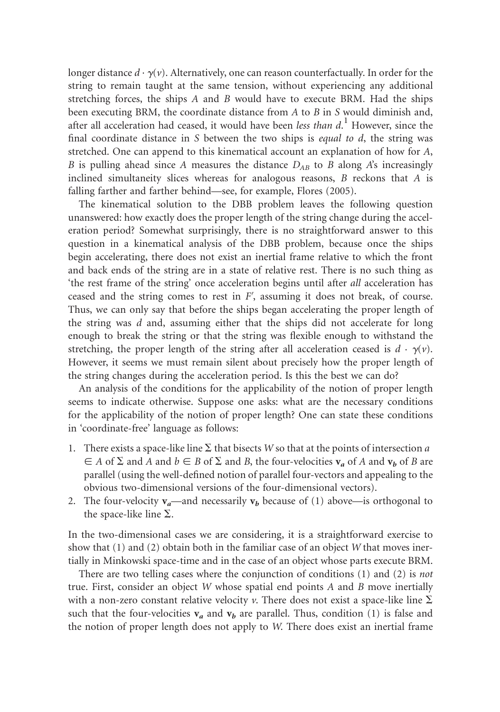longer distance  $d \cdot \gamma(v)$ . Alternatively, one can reason counterfactually. In order for the string to remain taught at the same tension, without experiencing any additional stretching forces, the ships  $A$  and  $B$  would have to execute BRM. Had the ships been executing BRM, the coordinate distance from  $A$  to  $B$  in  $S$  would diminish and, after all acceleration had ceased, it would have been less than  $d<sup>1</sup>$ . However, since the final coordinate distance in S between the two ships is equal to  $d$ , the string was stretched. One can append to this kinematical account an explanation of how for A, B is pulling ahead since A measures the distance  $D_{AB}$  to B along A's increasingly inclined simultaneity slices whereas for analogous reasons,  $B$  reckons that  $A$  is falling farther and farther behind—see, for example, Flores (2005).

The kinematical solution to the DBB problem leaves the following question unanswered: how exactly does the proper length of the string change during the acceleration period? Somewhat surprisingly, there is no straightforward answer to this question in a kinematical analysis of the DBB problem, because once the ships begin accelerating, there does not exist an inertial frame relative to which the front and back ends of the string are in a state of relative rest. There is no such thing as 'the rest frame of the string' once acceleration begins until after all acceleration has ceased and the string comes to rest in  $F'$ , assuming it does not break, of course. Thus, we can only say that before the ships began accelerating the proper length of the string was  $d$  and, assuming either that the ships did not accelerate for long enough to break the string or that the string was flexible enough to withstand the stretching, the proper length of the string after all acceleration ceased is  $d \cdot \gamma(v)$ . However, it seems we must remain silent about precisely how the proper length of the string changes during the acceleration period. Is this the best we can do?

An analysis of the conditions for the applicability of the notion of proper length seems to indicate otherwise. Suppose one asks: what are the necessary conditions for the applicability of the notion of proper length? One can state these conditions in 'coordinate-free' language as follows:

- 1. There exists a space-like line  $\Sigma$  that bisects W so that at the points of intersection a  $\subseteq$  A of  $\Sigma$  and A and  $b \in B$  of  $\Sigma$  and B, the four-velocities  $v_a$  of A and  $v_b$  of B are parallel (using the well-defined notion of parallel four-vectors and appealing to the obvious two-dimensional versions of the four-dimensional vectors).
- 2. The four-velocity  $v_a$ —and necessarily  $v_b$  because of (1) above—is orthogonal to the space-like line  $\Sigma$ .

In the two-dimensional cases we are considering, it is a straightforward exercise to show that  $(1)$  and  $(2)$  obtain both in the familiar case of an object W that moves inertially in Minkowski space-time and in the case of an object whose parts execute BRM.

There are two telling cases where the conjunction of conditions (1) and (2) is not true. First, consider an object  $W$  whose spatial end points  $A$  and  $B$  move inertially with a non-zero constant relative velocity v. There does not exist a space-like line  $\Sigma$ such that the four-velocities  $v_a$  and  $v_b$  are parallel. Thus, condition (1) is false and the notion of proper length does not apply to W. There does exist an inertial frame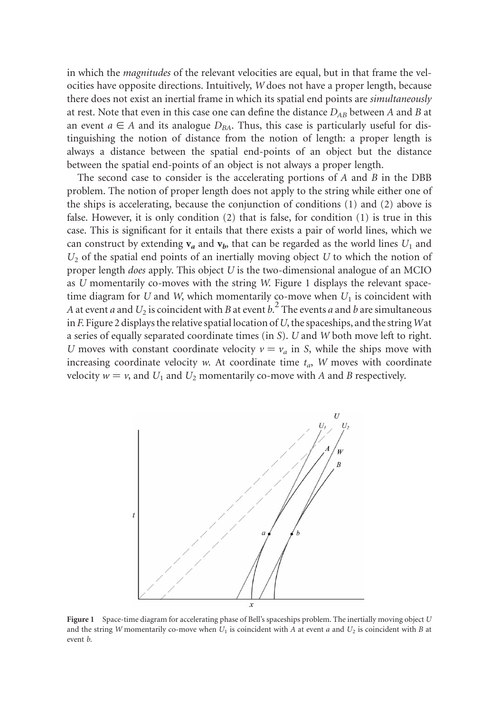in which the magnitudes of the relevant velocities are equal, but in that frame the velocities have opposite directions. Intuitively, W does not have a proper length, because there does not exist an inertial frame in which its spatial end points are simultaneously at rest. Note that even in this case one can define the distance  $D_{AB}$  between A and B at an event  $a \in A$  and its analogue  $D_{BA}$ . Thus, this case is particularly useful for distinguishing the notion of distance from the notion of length: a proper length is always a distance between the spatial end-points of an object but the distance between the spatial end-points of an object is not always a proper length.

The second case to consider is the accelerating portions of  $A$  and  $B$  in the DBB problem. The notion of proper length does not apply to the string while either one of the ships is accelerating, because the conjunction of conditions (1) and (2) above is false. However, it is only condition (2) that is false, for condition (1) is true in this case. This is significant for it entails that there exists a pair of world lines, which we can construct by extending  $v_a$  and  $v_b$ , that can be regarded as the world lines  $U_1$  and  $U_2$  of the spatial end points of an inertially moving object U to which the notion of proper length does apply. This object U is the two-dimensional analogue of an MCIO as U momentarily co-moves with the string W. Figure 1 displays the relevant spacetime diagram for U and W, which momentarily co-move when  $U_1$  is coincident with A at event a and  $U_2$  is coincident with B at event  $b$ . <sup>2</sup> The events a and b are simultaneous in  $F$ . Figure 2 displays the relative spatial location of  $U$ , the spaceships, and the string Wat a series of equally separated coordinate times (in S). U and W both move left to right. U moves with constant coordinate velocity  $v = v_a$  in S, while the ships move with increasing coordinate velocity w. At coordinate time  $t_a$ , W moves with coordinate velocity  $w = v$ , and  $U_1$  and  $U_2$  momentarily co-move with A and B respectively.



Figure 1 Space-time diagram for accelerating phase of Bell's spaceships problem. The inertially moving object U and the string W momentarily co-move when  $U_1$  is coincident with A at event a and  $U_2$  is coincident with B at event b.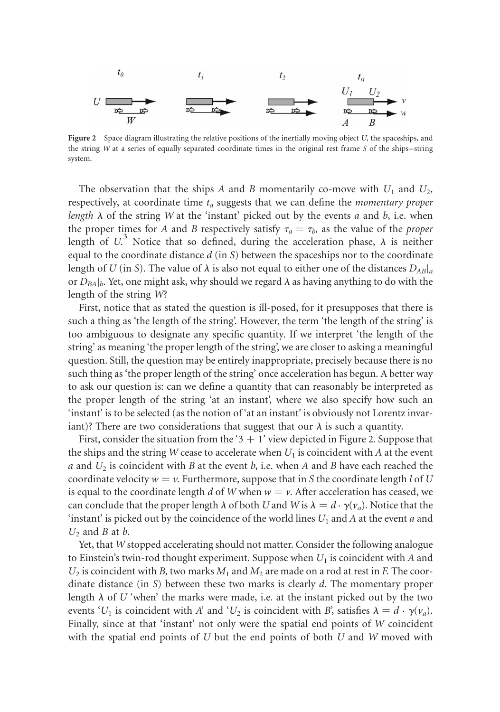

Figure 2 Space diagram illustrating the relative positions of the inertially moving object U, the spaceships, and the string  $W$  at a series of equally separated coordinate times in the original rest frame  $S$  of the ships–string system.

The observation that the ships A and B momentarily co-move with  $U_1$  and  $U_2$ , respectively, at coordinate time  $t_a$  suggests that we can define the *momentary proper* length  $\lambda$  of the string W at the 'instant' picked out by the events a and b, i.e. when the proper times for A and B respectively satisfy  $\tau_a = \tau_b$  as the value of the proper length of  $U^3$ . Notice that so defined, during the acceleration phase,  $\lambda$  is neither equal to the coordinate distance  $d$  (in S) between the spaceships nor to the coordinate length of U (in S). The value of  $\lambda$  is also not equal to either one of the distances  $D_{AB}|_a$ or  $D_{BA}|_b$ . Yet, one might ask, why should we regard  $\lambda$  as having anything to do with the length of the string W?

First, notice that as stated the question is ill-posed, for it presupposes that there is such a thing as 'the length of the string'. However, the term 'the length of the string' is too ambiguous to designate any specific quantity. If we interpret 'the length of the string' as meaning 'the proper length of the string', we are closer to asking a meaningful question. Still, the question may be entirely inappropriate, precisely because there is no such thing as 'the proper length of the string' once acceleration has begun. A better way to ask our question is: can we define a quantity that can reasonably be interpreted as the proper length of the string 'at an instant', where we also specify how such an 'instant' is to be selected (as the notion of 'at an instant' is obviously not Lorentz invariant)? There are two considerations that suggest that our  $\lambda$  is such a quantity.

First, consider the situation from the ' $3 + 1$ ' view depicted in Figure 2. Suppose that the ships and the string W cease to accelerate when  $U_1$  is coincident with A at the event a and  $U_2$  is coincident with B at the event b, i.e. when A and B have each reached the coordinate velocity  $w = v$ . Furthermore, suppose that in S the coordinate length l of U is equal to the coordinate length d of W when  $w = v$ . After acceleration has ceased, we can conclude that the proper length  $\lambda$  of both U and W is  $\lambda = d \cdot \gamma(v_a)$ . Notice that the 'instant' is picked out by the coincidence of the world lines  $U_1$  and A at the event a and  $U_2$  and B at b.

Yet, that W stopped accelerating should not matter. Consider the following analogue to Einstein's twin-rod thought experiment. Suppose when  $U_1$  is coincident with A and  $U_2$  is coincident with B, two marks  $M_1$  and  $M_2$  are made on a rod at rest in F. The coordinate distance (in S) between these two marks is clearly  $d$ . The momentary proper length  $\lambda$  of U 'when' the marks were made, i.e. at the instant picked out by the two events 'U<sub>1</sub> is coincident with A' and 'U<sub>2</sub> is coincident with B', satisfies  $\lambda = d \cdot \gamma(v_a)$ . Finally, since at that 'instant' not only were the spatial end points of W coincident with the spatial end points of U but the end points of both U and W moved with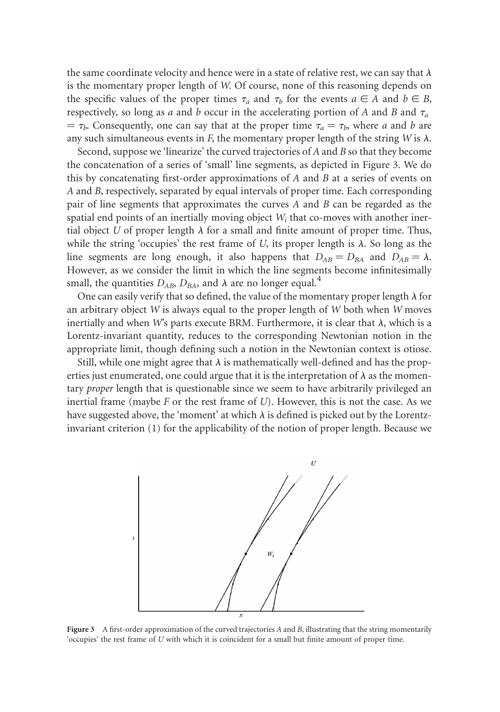the same coordinate velocity and hence were in a state of relative rest, we can say that  $\lambda$ is the momentary proper length of W. Of course, none of this reasoning depends on the specific values of the proper times  $\tau_a$  and  $\tau_b$  for the events  $a \in A$  and  $b \in B$ , respectively, so long as a and b occur in the accelerating portion of A and B and  $\tau_a$  $\tau_{t} = \tau_{t}$ . Consequently, one can say that at the proper time  $\tau_{a} = \tau_{t}$ , where a and b are any such simultaneous events in  $F$ , the momentary proper length of the string W is  $\lambda$ .

Second, suppose we 'linearize' the curved trajectories of A and B so that they become the concatenation of a series of 'small' line segments, as depicted in Figure 3. We do this by concatenating first-order approximations of  $A$  and  $B$  at a series of events on A and B, respectively, separated by equal intervals of proper time. Each corresponding pair of line segments that approximates the curves  $A$  and  $B$  can be regarded as the spatial end points of an inertially moving object  $W_i$  that co-moves with another inertial object U of proper length  $\lambda$  for a small and finite amount of proper time. Thus, while the string 'occupies' the rest frame of U, its proper length is  $\lambda$ . So long as the line segments are long enough, it also happens that  $D_{AB} = D_{BA}$  and  $D_{AB} = \lambda$ . However, as we consider the limit in which the line segments become infinitesimally small, the quantities  $D_{AB}$ ,  $D_{BA}$ , and  $\lambda$  are no longer equal.<sup>4</sup>

One can easily verify that so defined, the value of the momentary proper length  $\lambda$  for an arbitrary object W is always equal to the proper length of W both when W moves inertially and when W's parts execute BRM. Furthermore, it is clear that  $\lambda$ , which is a Lorentz-invariant quantity, reduces to the corresponding Newtonian notion in the appropriate limit, though defining such a notion in the Newtonian context is otiose.

Still, while one might agree that  $\lambda$  is mathematically well-defined and has the properties just enumerated, one could argue that it is the interpretation of  $\lambda$  as the momentary proper length that is questionable since we seem to have arbitrarily privileged an inertial frame (maybe  $F$  or the rest frame of  $U$ ). However, this is not the case. As we have suggested above, the 'moment' at which  $\lambda$  is defined is picked out by the Lorentzinvariant criterion (1) for the applicability of the notion of proper length. Because we



Figure 3 A first-order approximation of the curved trajectories  $A$  and  $B$ , illustrating that the string momentarily 'occupies' the rest frame of U with which it is coincident for a small but finite amount of proper time.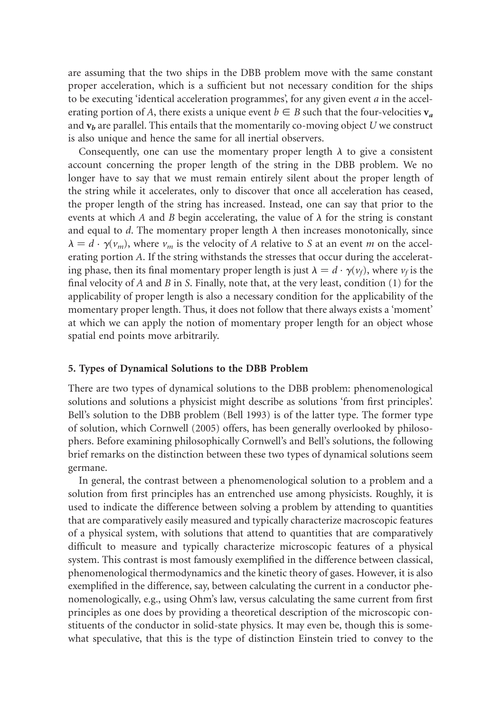are assuming that the two ships in the DBB problem move with the same constant proper acceleration, which is a sufficient but not necessary condition for the ships to be executing 'identical acceleration programmes', for any given event  $a$  in the accelerating portion of A, there exists a unique event  $b \in B$  such that the four-velocities  $v_a$ and  $v<sub>b</sub>$  are parallel. This entails that the momentarily co-moving object U we construct is also unique and hence the same for all inertial observers.

Consequently, one can use the momentary proper length  $\lambda$  to give a consistent account concerning the proper length of the string in the DBB problem. We no longer have to say that we must remain entirely silent about the proper length of the string while it accelerates, only to discover that once all acceleration has ceased, the proper length of the string has increased. Instead, one can say that prior to the events at which A and B begin accelerating, the value of  $\lambda$  for the string is constant and equal to d. The momentary proper length  $\lambda$  then increases monotonically, since  $\lambda = d \cdot \gamma(v_m)$ , where  $v_m$  is the velocity of A relative to S at an event m on the accelerating portion A. If the string withstands the stresses that occur during the accelerating phase, then its final momentary proper length is just  $\lambda = d \cdot \gamma(v_f)$ , where  $v_f$  is the final velocity of A and B in S. Finally, note that, at the very least, condition  $(1)$  for the applicability of proper length is also a necessary condition for the applicability of the momentary proper length. Thus, it does not follow that there always exists a 'moment' at which we can apply the notion of momentary proper length for an object whose spatial end points move arbitrarily.

### 5. Types of Dynamical Solutions to the DBB Problem

There are two types of dynamical solutions to the DBB problem: phenomenological solutions and solutions a physicist might describe as solutions 'from first principles'. Bell's solution to the DBB problem (Bell 1993) is of the latter type. The former type of solution, which Cornwell (2005) offers, has been generally overlooked by philosophers. Before examining philosophically Cornwell's and Bell's solutions, the following brief remarks on the distinction between these two types of dynamical solutions seem germane.

In general, the contrast between a phenomenological solution to a problem and a solution from first principles has an entrenched use among physicists. Roughly, it is used to indicate the difference between solving a problem by attending to quantities that are comparatively easily measured and typically characterize macroscopic features of a physical system, with solutions that attend to quantities that are comparatively difficult to measure and typically characterize microscopic features of a physical system. This contrast is most famously exemplified in the difference between classical, phenomenological thermodynamics and the kinetic theory of gases. However, it is also exemplified in the difference, say, between calculating the current in a conductor phenomenologically, e.g., using Ohm's law, versus calculating the same current from first principles as one does by providing a theoretical description of the microscopic constituents of the conductor in solid-state physics. It may even be, though this is somewhat speculative, that this is the type of distinction Einstein tried to convey to the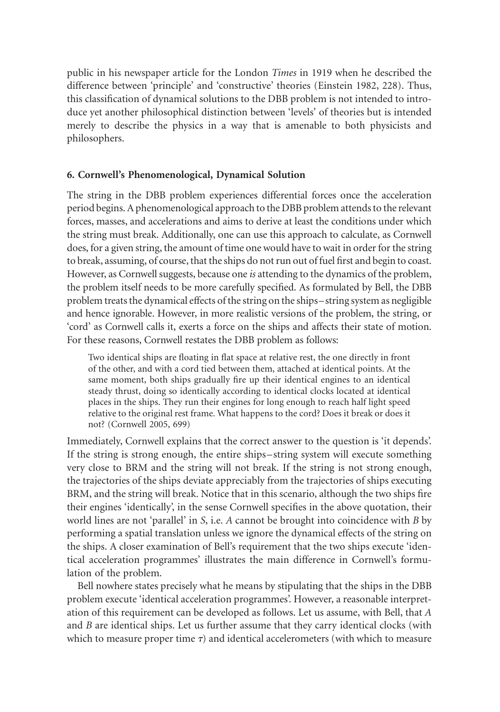public in his newspaper article for the London Times in 1919 when he described the difference between 'principle' and 'constructive' theories (Einstein 1982, 228). Thus, this classification of dynamical solutions to the DBB problem is not intended to introduce yet another philosophical distinction between 'levels' of theories but is intended merely to describe the physics in a way that is amenable to both physicists and philosophers.

# 6. Cornwell's Phenomenological, Dynamical Solution

The string in the DBB problem experiences differential forces once the acceleration period begins. A phenomenological approach to the DBB problem attends to the relevant forces, masses, and accelerations and aims to derive at least the conditions under which the string must break. Additionally, one can use this approach to calculate, as Cornwell does, for a given string, the amount of time one would have to wait in order for the string to break, assuming, of course, that the ships do not run out of fuel first and begin to coast. However, as Cornwell suggests, because one is attending to the dynamics of the problem, the problem itself needs to be more carefully specified. As formulated by Bell, the DBB problem treats the dynamical effects of the string on the ships–string system as negligible and hence ignorable. However, in more realistic versions of the problem, the string, or 'cord' as Cornwell calls it, exerts a force on the ships and affects their state of motion. For these reasons, Cornwell restates the DBB problem as follows:

Two identical ships are floating in flat space at relative rest, the one directly in front of the other, and with a cord tied between them, attached at identical points. At the same moment, both ships gradually fire up their identical engines to an identical steady thrust, doing so identically according to identical clocks located at identical places in the ships. They run their engines for long enough to reach half light speed relative to the original rest frame. What happens to the cord? Does it break or does it not? (Cornwell 2005, 699)

Immediately, Cornwell explains that the correct answer to the question is 'it depends'. If the string is strong enough, the entire ships-string system will execute something very close to BRM and the string will not break. If the string is not strong enough, the trajectories of the ships deviate appreciably from the trajectories of ships executing BRM, and the string will break. Notice that in this scenario, although the two ships fire their engines 'identically', in the sense Cornwell specifies in the above quotation, their world lines are not 'parallel' in S, i.e. A cannot be brought into coincidence with B by performing a spatial translation unless we ignore the dynamical effects of the string on the ships. A closer examination of Bell's requirement that the two ships execute 'identical acceleration programmes' illustrates the main difference in Cornwell's formulation of the problem.

Bell nowhere states precisely what he means by stipulating that the ships in the DBB problem execute 'identical acceleration programmes'. However, a reasonable interpretation of this requirement can be developed as follows. Let us assume, with Bell, that A and  $B$  are identical ships. Let us further assume that they carry identical clocks (with which to measure proper time  $\tau$ ) and identical accelerometers (with which to measure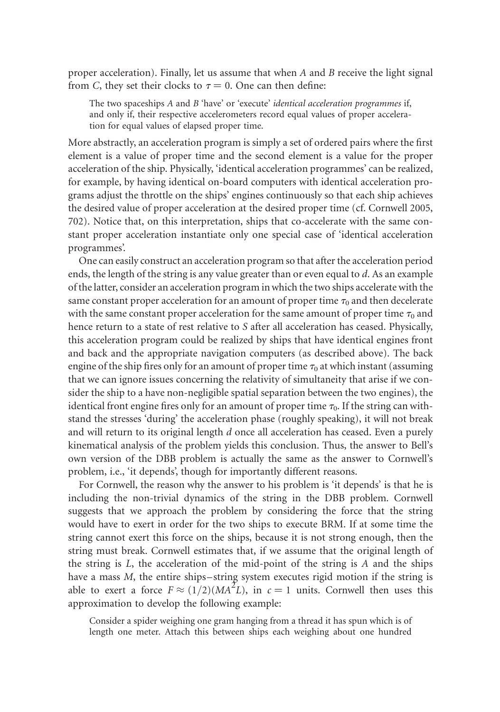proper acceleration). Finally, let us assume that when A and B receive the light signal from C, they set their clocks to  $\tau = 0$ . One can then define:

The two spaceships A and B 'have' or 'execute' identical acceleration programmes if, and only if, their respective accelerometers record equal values of proper acceleration for equal values of elapsed proper time.

More abstractly, an acceleration program is simply a set of ordered pairs where the first element is a value of proper time and the second element is a value for the proper acceleration of the ship. Physically, 'identical acceleration programmes' can be realized, for example, by having identical on-board computers with identical acceleration programs adjust the throttle on the ships' engines continuously so that each ship achieves the desired value of proper acceleration at the desired proper time (cf. Cornwell 2005, 702). Notice that, on this interpretation, ships that co-accelerate with the same constant proper acceleration instantiate only one special case of 'identical acceleration programmes'.

One can easily construct an acceleration program so that after the acceleration period ends, the length of the string is any value greater than or even equal to d. As an example of the latter, consider an acceleration program in which the two ships accelerate with the same constant proper acceleration for an amount of proper time  $\tau_0$  and then decelerate with the same constant proper acceleration for the same amount of proper time  $\tau_0$  and hence return to a state of rest relative to S after all acceleration has ceased. Physically, this acceleration program could be realized by ships that have identical engines front and back and the appropriate navigation computers (as described above). The back engine of the ship fires only for an amount of proper time  $\tau_0$  at which instant (assuming that we can ignore issues concerning the relativity of simultaneity that arise if we consider the ship to a have non-negligible spatial separation between the two engines), the identical front engine fires only for an amount of proper time  $\tau_0$ . If the string can withstand the stresses 'during' the acceleration phase (roughly speaking), it will not break and will return to its original length  $d$  once all acceleration has ceased. Even a purely kinematical analysis of the problem yields this conclusion. Thus, the answer to Bell's own version of the DBB problem is actually the same as the answer to Cornwell's problem, i.e., 'it depends', though for importantly different reasons.

For Cornwell, the reason why the answer to his problem is 'it depends' is that he is including the non-trivial dynamics of the string in the DBB problem. Cornwell suggests that we approach the problem by considering the force that the string would have to exert in order for the two ships to execute BRM. If at some time the string cannot exert this force on the ships, because it is not strong enough, then the string must break. Cornwell estimates that, if we assume that the original length of the string is  $L$ , the acceleration of the mid-point of the string is  $A$  and the ships have a mass M, the entire ships-string system executes rigid motion if the string is able to exert a force  $F \approx (1/2)(MA^2L)$ , in  $c = 1$  units. Cornwell then uses this approximation to develop the following example:

Consider a spider weighing one gram hanging from a thread it has spun which is of length one meter. Attach this between ships each weighing about one hundred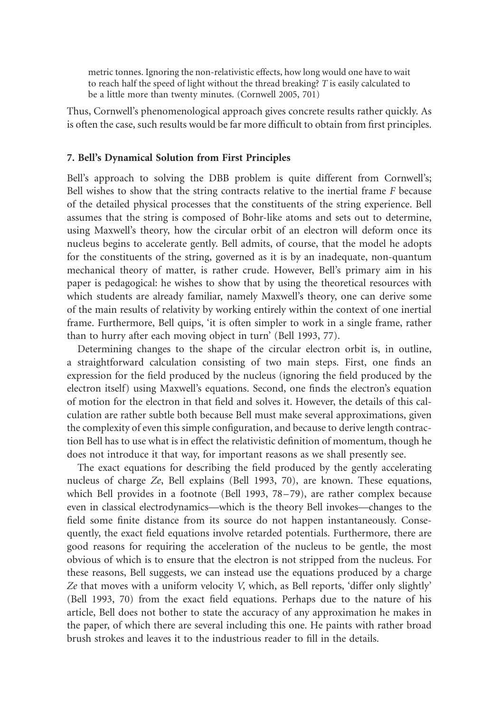metric tonnes. Ignoring the non-relativistic effects, how long would one have to wait to reach half the speed of light without the thread breaking? T is easily calculated to be a little more than twenty minutes. (Cornwell 2005, 701)

Thus, Cornwell's phenomenological approach gives concrete results rather quickly. As is often the case, such results would be far more difficult to obtain from first principles.

## 7. Bell's Dynamical Solution from First Principles

Bell's approach to solving the DBB problem is quite different from Cornwell's; Bell wishes to show that the string contracts relative to the inertial frame F because of the detailed physical processes that the constituents of the string experience. Bell assumes that the string is composed of Bohr-like atoms and sets out to determine, using Maxwell's theory, how the circular orbit of an electron will deform once its nucleus begins to accelerate gently. Bell admits, of course, that the model he adopts for the constituents of the string, governed as it is by an inadequate, non-quantum mechanical theory of matter, is rather crude. However, Bell's primary aim in his paper is pedagogical: he wishes to show that by using the theoretical resources with which students are already familiar, namely Maxwell's theory, one can derive some of the main results of relativity by working entirely within the context of one inertial frame. Furthermore, Bell quips, 'it is often simpler to work in a single frame, rather than to hurry after each moving object in turn' (Bell 1993, 77).

Determining changes to the shape of the circular electron orbit is, in outline, a straightforward calculation consisting of two main steps. First, one finds an expression for the field produced by the nucleus (ignoring the field produced by the electron itself) using Maxwell's equations. Second, one finds the electron's equation of motion for the electron in that field and solves it. However, the details of this calculation are rather subtle both because Bell must make several approximations, given the complexity of even this simple configuration, and because to derive length contraction Bell has to use what is in effect the relativistic definition of momentum, though he does not introduce it that way, for important reasons as we shall presently see.

The exact equations for describing the field produced by the gently accelerating nucleus of charge Ze, Bell explains (Bell 1993, 70), are known. These equations, which Bell provides in a footnote (Bell 1993, 78-79), are rather complex because even in classical electrodynamics—which is the theory Bell invokes—changes to the field some finite distance from its source do not happen instantaneously. Consequently, the exact field equations involve retarded potentials. Furthermore, there are good reasons for requiring the acceleration of the nucleus to be gentle, the most obvious of which is to ensure that the electron is not stripped from the nucleus. For these reasons, Bell suggests, we can instead use the equations produced by a charge Ze that moves with a uniform velocity  $V$ , which, as Bell reports, 'differ only slightly' (Bell 1993, 70) from the exact field equations. Perhaps due to the nature of his article, Bell does not bother to state the accuracy of any approximation he makes in the paper, of which there are several including this one. He paints with rather broad brush strokes and leaves it to the industrious reader to fill in the details.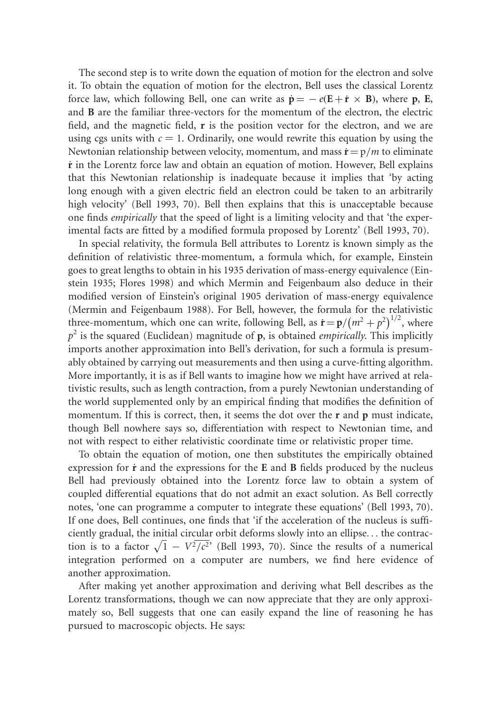The second step is to write down the equation of motion for the electron and solve it. To obtain the equation of motion for the electron, Bell uses the classical Lorentz force law, which following Bell, one can write as  $\dot{\mathbf{p}} = -e(\mathbf{E} + \dot{\mathbf{r}} \times \mathbf{B})$ , where **p**, **E**, and B are the familiar three-vectors for the momentum of the electron, the electric field, and the magnetic field,  $\bf{r}$  is the position vector for the electron, and we are using cgs units with  $c = 1$ . Ordinarily, one would rewrite this equation by using the Newtonian relationship between velocity, momentum, and mass  $\dot{\mathbf{r}} = p/m$  to eliminate r ˙ in the Lorentz force law and obtain an equation of motion. However, Bell explains that this Newtonian relationship is inadequate because it implies that 'by acting long enough with a given electric field an electron could be taken to an arbitrarily high velocity' (Bell 1993, 70). Bell then explains that this is unacceptable because one finds empirically that the speed of light is a limiting velocity and that 'the experimental facts are fitted by a modified formula proposed by Lorentz' (Bell 1993, 70).

In special relativity, the formula Bell attributes to Lorentz is known simply as the definition of relativistic three-momentum, a formula which, for example, Einstein goes to great lengths to obtain in his 1935 derivation of mass-energy equivalence (Einstein 1935; Flores 1998) and which Mermin and Feigenbaum also deduce in their modified version of Einstein's original 1905 derivation of mass-energy equivalence (Mermin and Feigenbaum 1988). For Bell, however, the formula for the relativistic three-momentum, which one can write, following Bell, as  $\dot{\mathbf{r}} = \mathbf{p}/(m^2 + p^2)^{1/2}$ , where  $p<sup>2</sup>$  is the squared (Euclidean) magnitude of **p**, is obtained *empirically*. This implicitly imports another approximation into Bell's derivation, for such a formula is presumably obtained by carrying out measurements and then using a curve-fitting algorithm. More importantly, it is as if Bell wants to imagine how we might have arrived at relativistic results, such as length contraction, from a purely Newtonian understanding of the world supplemented only by an empirical finding that modifies the definition of momentum. If this is correct, then, it seems the dot over the  $\bf{r}$  and  $\bf{p}$  must indicate, though Bell nowhere says so, differentiation with respect to Newtonian time, and not with respect to either relativistic coordinate time or relativistic proper time.

tion is to a factor  $\sqrt{1 - V^2/c^2}$  (Bell 1993, 70). Since the results of a numerical To obtain the equation of motion, one then substitutes the empirically obtained expression for  $\dot{\mathbf{r}}$  and the expressions for the E and B fields produced by the nucleus Bell had previously obtained into the Lorentz force law to obtain a system of coupled differential equations that do not admit an exact solution. As Bell correctly notes, 'one can programme a computer to integrate these equations' (Bell 1993, 70). If one does, Bell continues, one finds that 'if the acceleration of the nucleus is sufficiently gradual, the initial circular orbit deforms slowly into an ellipse... the contracintegration performed on a computer are numbers, we find here evidence of another approximation.

After making yet another approximation and deriving what Bell describes as the Lorentz transformations, though we can now appreciate that they are only approximately so, Bell suggests that one can easily expand the line of reasoning he has pursued to macroscopic objects. He says: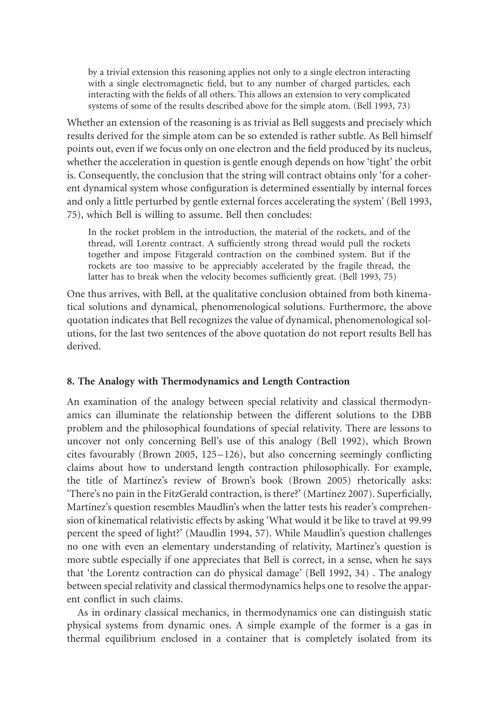by a trivial extension this reasoning applies not only to a single electron interacting with a single electromagnetic field, but to any number of charged particles, each interacting with the fields of all others. This allows an extension to very complicated systems of some of the results described above for the simple atom. (Bell 1993, 73)

Whether an extension of the reasoning is as trivial as Bell suggests and precisely which results derived for the simple atom can be so extended is rather subtle. As Bell himself points out, even if we focus only on one electron and the field produced by its nucleus, whether the acceleration in question is gentle enough depends on how 'tight' the orbit is. Consequently, the conclusion that the string will contract obtains only 'for a coherent dynamical system whose configuration is determined essentially by internal forces and only a little perturbed by gentle external forces accelerating the system' (Bell 1993, 75), which Bell is willing to assume. Bell then concludes:

In the rocket problem in the introduction, the material of the rockets, and of the thread, will Lorentz contract. A sufficiently strong thread would pull the rockets together and impose Fitzgerald contraction on the combined system. But if the rockets are too massive to be appreciably accelerated by the fragile thread, the latter has to break when the velocity becomes sufficiently great. (Bell 1993, 75)

One thus arrives, with Bell, at the qualitative conclusion obtained from both kinematical solutions and dynamical, phenomenological solutions. Furthermore, the above quotation indicates that Bell recognizes the value of dynamical, phenomenological solutions, for the last two sentences of the above quotation do not report results Bell has derived.

### 8. The Analogy with Thermodynamics and Length Contraction

An examination of the analogy between special relativity and classical thermodynamics can illuminate the relationship between the different solutions to the DBB problem and the philosophical foundations of special relativity. There are lessons to uncover not only concerning Bell's use of this analogy (Bell 1992), which Brown cites favourably (Brown 2005, 125– 126), but also concerning seemingly conflicting claims about how to understand length contraction philosophically. For example, the title of Martínez's review of Brown's book (Brown 2005) rhetorically asks: 'There's no pain in the FitzGerald contraction, is there?' (Martinez 2007). Superficially, Martínez's question resembles Maudlin's when the latter tests his reader's comprehension of kinematical relativistic effects by asking 'What would it be like to travel at 99.99 percent the speed of light?' (Maudlin 1994, 57). While Maudlin's question challenges no one with even an elementary understanding of relativity, Martínez's question is more subtle especially if one appreciates that Bell is correct, in a sense, when he says that 'the Lorentz contraction can do physical damage' (Bell 1992, 34) . The analogy between special relativity and classical thermodynamics helps one to resolve the apparent conflict in such claims.

As in ordinary classical mechanics, in thermodynamics one can distinguish static physical systems from dynamic ones. A simple example of the former is a gas in thermal equilibrium enclosed in a container that is completely isolated from its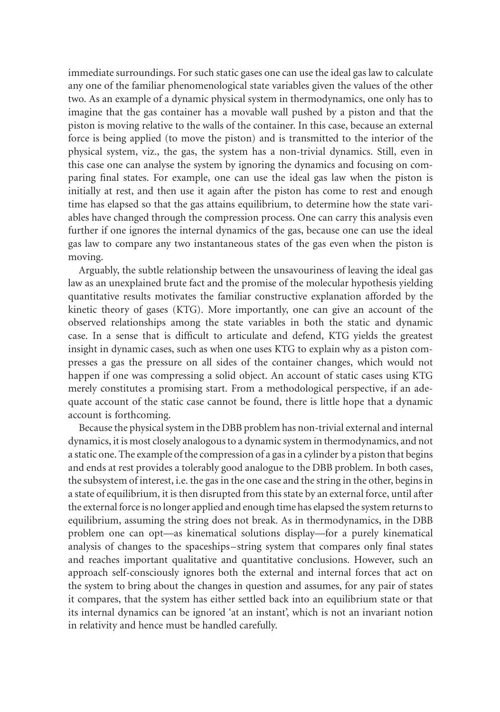immediate surroundings. For such static gases one can use the ideal gas law to calculate any one of the familiar phenomenological state variables given the values of the other two. As an example of a dynamic physical system in thermodynamics, one only has to imagine that the gas container has a movable wall pushed by a piston and that the piston is moving relative to the walls of the container. In this case, because an external force is being applied (to move the piston) and is transmitted to the interior of the physical system, viz., the gas, the system has a non-trivial dynamics. Still, even in this case one can analyse the system by ignoring the dynamics and focusing on comparing final states. For example, one can use the ideal gas law when the piston is initially at rest, and then use it again after the piston has come to rest and enough time has elapsed so that the gas attains equilibrium, to determine how the state variables have changed through the compression process. One can carry this analysis even further if one ignores the internal dynamics of the gas, because one can use the ideal gas law to compare any two instantaneous states of the gas even when the piston is moving.

Arguably, the subtle relationship between the unsavouriness of leaving the ideal gas law as an unexplained brute fact and the promise of the molecular hypothesis yielding quantitative results motivates the familiar constructive explanation afforded by the kinetic theory of gases (KTG). More importantly, one can give an account of the observed relationships among the state variables in both the static and dynamic case. In a sense that is difficult to articulate and defend, KTG yields the greatest insight in dynamic cases, such as when one uses KTG to explain why as a piston compresses a gas the pressure on all sides of the container changes, which would not happen if one was compressing a solid object. An account of static cases using KTG merely constitutes a promising start. From a methodological perspective, if an adequate account of the static case cannot be found, there is little hope that a dynamic account is forthcoming.

Because the physical system in the DBB problem has non-trivial external and internal dynamics, it is most closely analogous to a dynamic system in thermodynamics, and not a static one. The example of the compression of a gas in a cylinder by a piston that begins and ends at rest provides a tolerably good analogue to the DBB problem. In both cases, the subsystem of interest, i.e. the gas in the one case and the string in the other, begins in a state of equilibrium, it is then disrupted from this state by an external force, until after the external force is no longer applied and enough time has elapsed the system returns to equilibrium, assuming the string does not break. As in thermodynamics, in the DBB problem one can opt—as kinematical solutions display—for a purely kinematical analysis of changes to the spaceships– string system that compares only final states and reaches important qualitative and quantitative conclusions. However, such an approach self-consciously ignores both the external and internal forces that act on the system to bring about the changes in question and assumes, for any pair of states it compares, that the system has either settled back into an equilibrium state or that its internal dynamics can be ignored 'at an instant', which is not an invariant notion in relativity and hence must be handled carefully.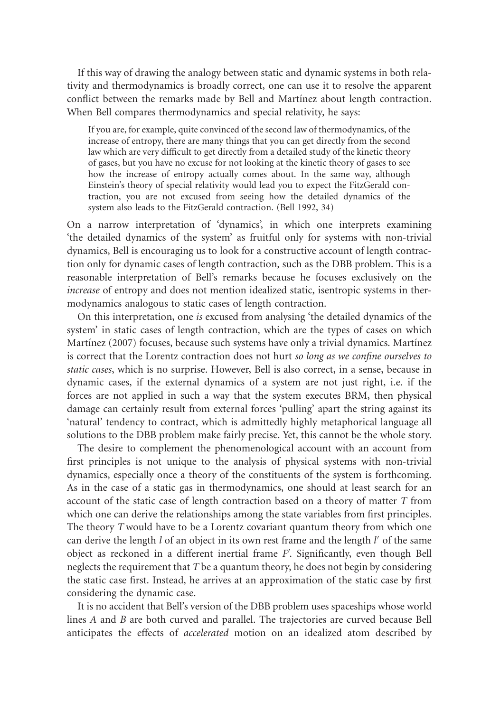If this way of drawing the analogy between static and dynamic systems in both relativity and thermodynamics is broadly correct, one can use it to resolve the apparent conflict between the remarks made by Bell and Martínez about length contraction. When Bell compares thermodynamics and special relativity, he says:

If you are, for example, quite convinced of the second law of thermodynamics, of the increase of entropy, there are many things that you can get directly from the second law which are very difficult to get directly from a detailed study of the kinetic theory of gases, but you have no excuse for not looking at the kinetic theory of gases to see how the increase of entropy actually comes about. In the same way, although Einstein's theory of special relativity would lead you to expect the FitzGerald contraction, you are not excused from seeing how the detailed dynamics of the system also leads to the FitzGerald contraction. (Bell 1992, 34)

On a narrow interpretation of 'dynamics', in which one interprets examining 'the detailed dynamics of the system' as fruitful only for systems with non-trivial dynamics, Bell is encouraging us to look for a constructive account of length contraction only for dynamic cases of length contraction, such as the DBB problem. This is a reasonable interpretation of Bell's remarks because he focuses exclusively on the increase of entropy and does not mention idealized static, isentropic systems in thermodynamics analogous to static cases of length contraction.

On this interpretation, one is excused from analysing 'the detailed dynamics of the system' in static cases of length contraction, which are the types of cases on which Martínez (2007) focuses, because such systems have only a trivial dynamics. Martínez is correct that the Lorentz contraction does not hurt so long as we confine ourselves to static cases, which is no surprise. However, Bell is also correct, in a sense, because in dynamic cases, if the external dynamics of a system are not just right, i.e. if the forces are not applied in such a way that the system executes BRM, then physical damage can certainly result from external forces 'pulling' apart the string against its 'natural' tendency to contract, which is admittedly highly metaphorical language all solutions to the DBB problem make fairly precise. Yet, this cannot be the whole story.

The desire to complement the phenomenological account with an account from first principles is not unique to the analysis of physical systems with non-trivial dynamics, especially once a theory of the constituents of the system is forthcoming. As in the case of a static gas in thermodynamics, one should at least search for an account of the static case of length contraction based on a theory of matter T from which one can derive the relationships among the state variables from first principles. The theory T would have to be a Lorentz covariant quantum theory from which one can derive the length  $l$  of an object in its own rest frame and the length  $l'$  of the same object as reckoned in a different inertial frame  $F$ . Significantly, even though Bell neglects the requirement that T be a quantum theory, he does not begin by considering the static case first. Instead, he arrives at an approximation of the static case by first considering the dynamic case.

It is no accident that Bell's version of the DBB problem uses spaceships whose world lines A and B are both curved and parallel. The trajectories are curved because Bell anticipates the effects of accelerated motion on an idealized atom described by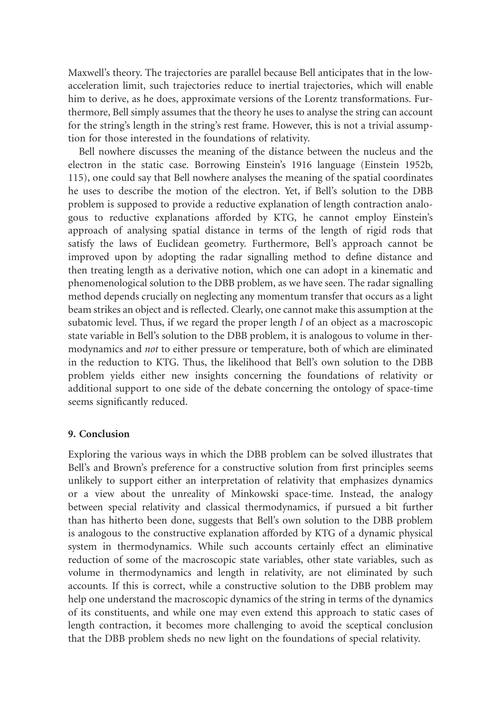Maxwell's theory. The trajectories are parallel because Bell anticipates that in the lowacceleration limit, such trajectories reduce to inertial trajectories, which will enable him to derive, as he does, approximate versions of the Lorentz transformations. Furthermore, Bell simply assumes that the theory he uses to analyse the string can account for the string's length in the string's rest frame. However, this is not a trivial assumption for those interested in the foundations of relativity.

Bell nowhere discusses the meaning of the distance between the nucleus and the electron in the static case. Borrowing Einstein's 1916 language (Einstein 1952b, 115), one could say that Bell nowhere analyses the meaning of the spatial coordinates he uses to describe the motion of the electron. Yet, if Bell's solution to the DBB problem is supposed to provide a reductive explanation of length contraction analogous to reductive explanations afforded by KTG, he cannot employ Einstein's approach of analysing spatial distance in terms of the length of rigid rods that satisfy the laws of Euclidean geometry. Furthermore, Bell's approach cannot be improved upon by adopting the radar signalling method to define distance and then treating length as a derivative notion, which one can adopt in a kinematic and phenomenological solution to the DBB problem, as we have seen. The radar signalling method depends crucially on neglecting any momentum transfer that occurs as a light beam strikes an object and is reflected. Clearly, one cannot make this assumption at the subatomic level. Thus, if we regard the proper length  $l$  of an object as a macroscopic state variable in Bell's solution to the DBB problem, it is analogous to volume in thermodynamics and *not* to either pressure or temperature, both of which are eliminated in the reduction to KTG. Thus, the likelihood that Bell's own solution to the DBB problem yields either new insights concerning the foundations of relativity or additional support to one side of the debate concerning the ontology of space-time seems significantly reduced.

# 9. Conclusion

Exploring the various ways in which the DBB problem can be solved illustrates that Bell's and Brown's preference for a constructive solution from first principles seems unlikely to support either an interpretation of relativity that emphasizes dynamics or a view about the unreality of Minkowski space-time. Instead, the analogy between special relativity and classical thermodynamics, if pursued a bit further than has hitherto been done, suggests that Bell's own solution to the DBB problem is analogous to the constructive explanation afforded by KTG of a dynamic physical system in thermodynamics. While such accounts certainly effect an eliminative reduction of some of the macroscopic state variables, other state variables, such as volume in thermodynamics and length in relativity, are not eliminated by such accounts. If this is correct, while a constructive solution to the DBB problem may help one understand the macroscopic dynamics of the string in terms of the dynamics of its constituents, and while one may even extend this approach to static cases of length contraction, it becomes more challenging to avoid the sceptical conclusion that the DBB problem sheds no new light on the foundations of special relativity.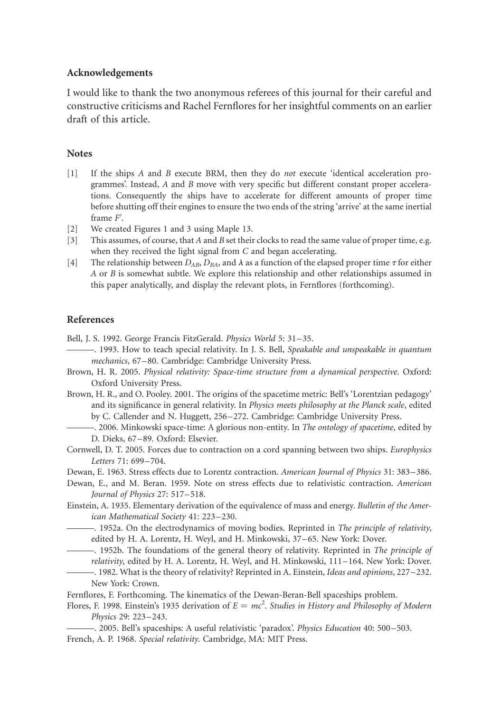# Acknowledgements

I would like to thank the two anonymous referees of this journal for their careful and constructive criticisms and Rachel Fernflores for her insightful comments on an earlier draft of this article.

## **Notes**

- [1] If the ships A and B execute BRM, then they do not execute 'identical acceleration programmes'. Instead, A and B move with very specific but different constant proper accelerations. Consequently the ships have to accelerate for different amounts of proper time before shutting off their engines to ensure the two ends of the string 'arrive' at the same inertial frame  $F'$ .
- [2] We created Figures 1 and 3 using Maple 13.
- [3] This assumes, of course, that A and B set their clocks to read the same value of proper time, e.g. when they received the light signal from C and began accelerating.
- [4] The relationship between  $D_{AB}$ ,  $D_{BA}$ , and  $\lambda$  as a function of the elapsed proper time  $\tau$  for either A or B is somewhat subtle. We explore this relationship and other relationships assumed in this paper analytically, and display the relevant plots, in Fernflores (forthcoming).

#### References

Bell, J. S. 1992. George Francis FitzGerald. Physics World 5: 31–35.

- -. 1993. How to teach special relativity. In J. S. Bell, Speakable and unspeakable in quantum mechanics, 67-80. Cambridge: Cambridge University Press.
- Brown, H. R. 2005. Physical relativity: Space-time structure from a dynamical perspective. Oxford: Oxford University Press.
- Brown, H. R., and O. Pooley. 2001. The origins of the spacetime metric: Bell's 'Lorentzian pedagogy' and its significance in general relativity. In Physics meets philosophy at the Planck scale, edited by C. Callender and N. Huggett, 256–272. Cambridge: Cambridge University Press.

-. 2006. Minkowski space-time: A glorious non-entity. In The ontology of spacetime, edited by D. Dieks, 67 –89. Oxford: Elsevier.

Cornwell, D. T. 2005. Forces due to contraction on a cord spanning between two ships. Europhysics Letters 71: 699-704.

Dewan, E. 1963. Stress effects due to Lorentz contraction. American Journal of Physics 31: 383–386.

- Dewan, E., and M. Beran. 1959. Note on stress effects due to relativistic contraction. American Journal of Physics 27: 517–518.
- Einstein, A. 1935. Elementary derivation of the equivalence of mass and energy. Bulletin of the American Mathematical Society 41: 223 – 230.
	- ———. 1952a. On the electrodynamics of moving bodies. Reprinted in The principle of relativity, edited by H. A. Lorentz, H. Weyl, and H. Minkowski, 37–65. New York: Dover.
- -. 1952b. The foundations of the general theory of relativity. Reprinted in The principle of relativity, edited by H. A. Lorentz, H. Weyl, and H. Minkowski, 111–164. New York: Dover. -. 1982. What is the theory of relativity? Reprinted in A. Einstein, Ideas and opinions, 227-232. New York: Crown.
- Fernflores, F. Forthcoming. The kinematics of the Dewan-Beran-Bell spaceships problem.

Flores, F. 1998. Einstein's 1935 derivation of  $E = mc^2$ . Studies in History and Philosophy of Modern Physics 29: 223–243.

-. 2005. Bell's spaceships: A useful relativistic 'paradox'. Physics Education 40: 500-503. French, A. P. 1968. Special relativity. Cambridge, MA: MIT Press.